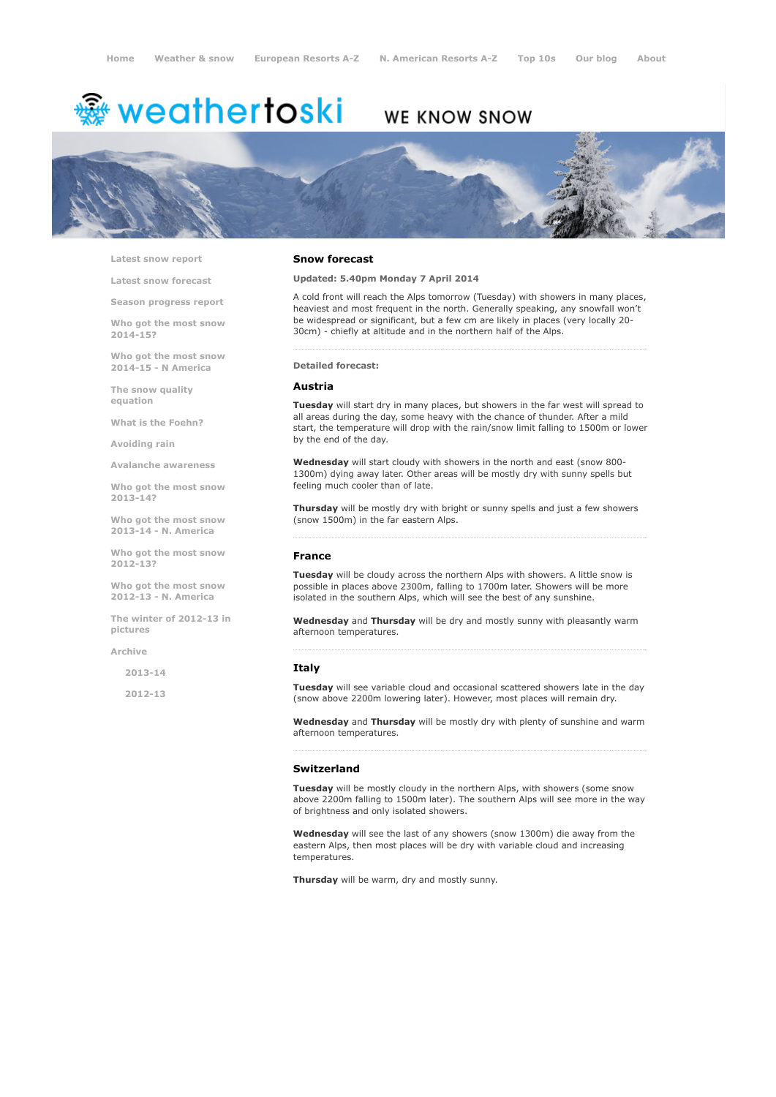# <sup>▒</sup> weathertoski

# WE KNOW SNOW



Latest snow [report](http://www.weathertoski.co.uk/weather-snow/latest-snow-report/)

Latest snow [forecast](http://www.weathertoski.co.uk/weather-snow/latest-snow-forecast/)

Season [progress](http://www.weathertoski.co.uk/weather-snow/season-progress-report/) report

Who got the most snow 2014-15? Who got the most snow

2014-15 - N America The snow quality

[equation](http://www.weathertoski.co.uk/weather-snow/the-snow-quality-equation/)

What is the [Foehn?](http://www.weathertoski.co.uk/weather-snow/what-is-the-foehn/)

[Avoiding](http://www.weathertoski.co.uk/weather-snow/avoiding-rain/) rain

Avalanche [awareness](http://www.weathertoski.co.uk/weather-snow/avalanche-awareness/)

Who got the most snow 2013-14?

Who got the most snow 2013-14 - N. America

Who got the most snow 2012-13?

Who got the most snow 2012-13 - N. America

The winter of 2012-13 in pictures

[Archive](http://www.weathertoski.co.uk/weather-snow/archive/)

2013-14

2012-13

## Snow forecast

Updated: 5.40pm Monday 7 April 2014

A cold front will reach the Alps tomorrow (Tuesday) with showers in many places, heaviest and most frequent in the north. Generally speaking, any snowfall won't be widespread or significant, but a few cm are likely in places (very locally 20 30cm) - chiefly at altitude and in the northern half of the Alps.

#### Detailed forecast:

#### Austria

Tuesday will start dry in many places, but showers in the far west will spread to all areas during the day, some heavy with the chance of thunder. After a mild start, the temperature will drop with the rain/snow limit falling to 1500m or lower by the end of the day.

Wednesday will start cloudy with showers in the north and east (snow 800-1300m) dying away later. Other areas will be mostly dry with sunny spells but feeling much cooler than of late.

Thursday will be mostly dry with bright or sunny spells and just a few showers (snow 1500m) in the far eastern Alps.

### France

Tuesday will be cloudy across the northern Alps with showers. A little snow is possible in places above 2300m, falling to 1700m later. Showers will be more isolated in the southern Alps, which will see the best of any sunshine.

Wednesday and Thursday will be dry and mostly sunny with pleasantly warm afternoon temperatures.

#### Italy

Tuesday will see variable cloud and occasional scattered showers late in the day (snow above 2200m lowering later). However, most places will remain dry.

Wednesday and Thursday will be mostly dry with plenty of sunshine and warm afternoon temperatures.

#### Switzerland

Tuesday will be mostly cloudy in the northern Alps, with showers (some snow above 2200m falling to 1500m later). The southern Alps will see more in the way of brightness and only isolated showers.

Wednesday will see the last of any showers (snow 1300m) die away from the eastern Alps, then most places will be dry with variable cloud and increasing temperatures.

Thursday will be warm, dry and mostly sunny.